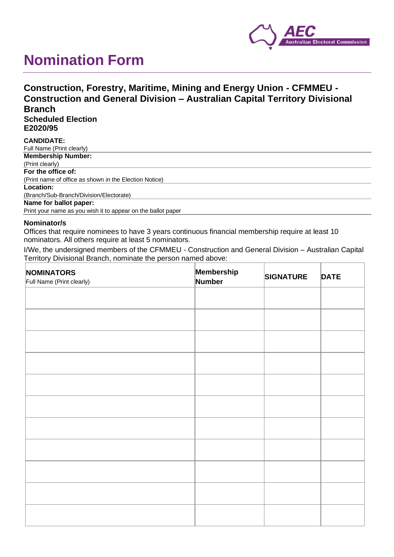

# **Nomination Form**

## **Construction, Forestry, Maritime, Mining and Energy Union - CFMMEU - Construction and General Division – Australian Capital Territory Divisional Branch**

**Scheduled Election E2020/95**

#### **CANDIDATE:** Full Name (Print clearly) **Membership Number:** (Print clearly) **For the office of:** (Print name of office as shown in the Election Notice) **Location:** (Branch/Sub-Branch/Division/Electorate) **Name for ballot paper:** Print your name as you wish it to appear on the ballot paper

#### **Nominator/s**

Offices that require nominees to have 3 years continuous financial membership require at least 10 nominators. All others require at least 5 nominators.

I/We, the undersigned members of the CFMMEU - Construction and General Division – Australian Capital Territory Divisional Branch, nominate the person named above:

| NOMINATORS<br>Full Name (Print clearly) | Membership<br>Number | <b>SIGNATURE</b> | <b>DATE</b> |
|-----------------------------------------|----------------------|------------------|-------------|
|                                         |                      |                  |             |
|                                         |                      |                  |             |
|                                         |                      |                  |             |
|                                         |                      |                  |             |
|                                         |                      |                  |             |
|                                         |                      |                  |             |
|                                         |                      |                  |             |
|                                         |                      |                  |             |
|                                         |                      |                  |             |
|                                         |                      |                  |             |
|                                         |                      |                  |             |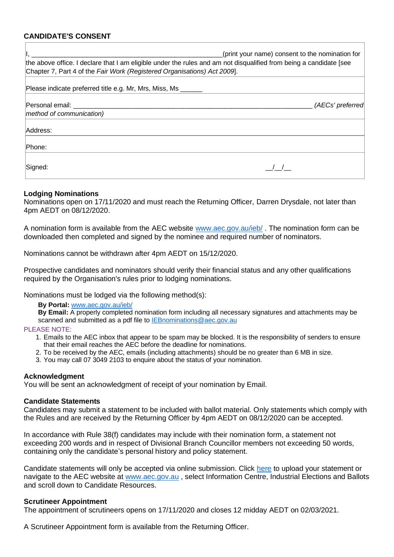### **CANDIDATE'S CONSENT**

| the above office. I declare that I am eligible under the rules and am not disqualified from being a candidate [see<br>Chapter 7, Part 4 of the Fair Work (Registered Organisations) Act 2009. | (print your name) consent to the nomination for |
|-----------------------------------------------------------------------------------------------------------------------------------------------------------------------------------------------|-------------------------------------------------|
| Please indicate preferred title e.g. Mr, Mrs, Miss, Ms                                                                                                                                        |                                                 |
| Personal email: _______<br>method of communication)                                                                                                                                           | (AECs' preferred                                |
| Address:                                                                                                                                                                                      |                                                 |
| Phone:                                                                                                                                                                                        |                                                 |
| Signed:                                                                                                                                                                                       |                                                 |

#### **Lodging Nominations**

Nominations open on 17/11/2020 and must reach the Returning Officer, Darren Drysdale, not later than 4pm AEDT on 08/12/2020.

A nomination form is available from the AEC website [www.aec.gov.au/ieb/](http://www.aec.gov.au/ieb/) . The nomination form can be downloaded then completed and signed by the nominee and required number of nominators.

Nominations cannot be withdrawn after 4pm AEDT on 15/12/2020.

Prospective candidates and nominators should verify their financial status and any other qualifications required by the Organisation's rules prior to lodging nominations.

Nominations must be lodged via the following method(s):

#### **By Portal:** [www.aec.gov.au/ieb/](http://www.aec.gov.au/ieb/)

**By Email:** A properly completed nomination form including all necessary signatures and attachments may be scanned and submitted as a pdf file to [IEBnominations@aec.gov.au](mailto:IEBnominations@aec.gov.au)

#### PLEASE NOTE:

- 1. Emails to the AEC inbox that appear to be spam may be blocked. It is the responsibility of senders to ensure that their email reaches the AEC before the deadline for nominations.
- 2. To be received by the AEC, emails (including attachments) should be no greater than 6 MB in size.
- 3. You may call 07 3049 2103 to enquire about the status of your nomination.

#### **Acknowledgment**

You will be sent an acknowledgment of receipt of your nomination by Email.

#### **Candidate Statements**

Candidates may submit a statement to be included with ballot material. Only statements which comply with the Rules and are received by the Returning Officer by 4pm AEDT on 08/12/2020 can be accepted.

In accordance with Rule 38(f) candidates may include with their nomination form, a statement not exceeding 200 words and in respect of Divisional Branch Councillor members not exceeding 50 words, containing only the candidate's personal history and policy statement.

Candidate statements will only be accepted via online submission. Click [here](https://formupload.aec.gov.au/Form?FormId=iebCandStatement) to upload your statement or navigate to the AEC website at [www.aec.gov.au](http://www.aec.gov.au/) , select Information Centre, Industrial Elections and Ballots and scroll down to Candidate Resources.

#### **Scrutineer Appointment**

The appointment of scrutineers opens on 17/11/2020 and closes 12 midday AEDT on 02/03/2021.

A Scrutineer Appointment form is available from the Returning Officer.